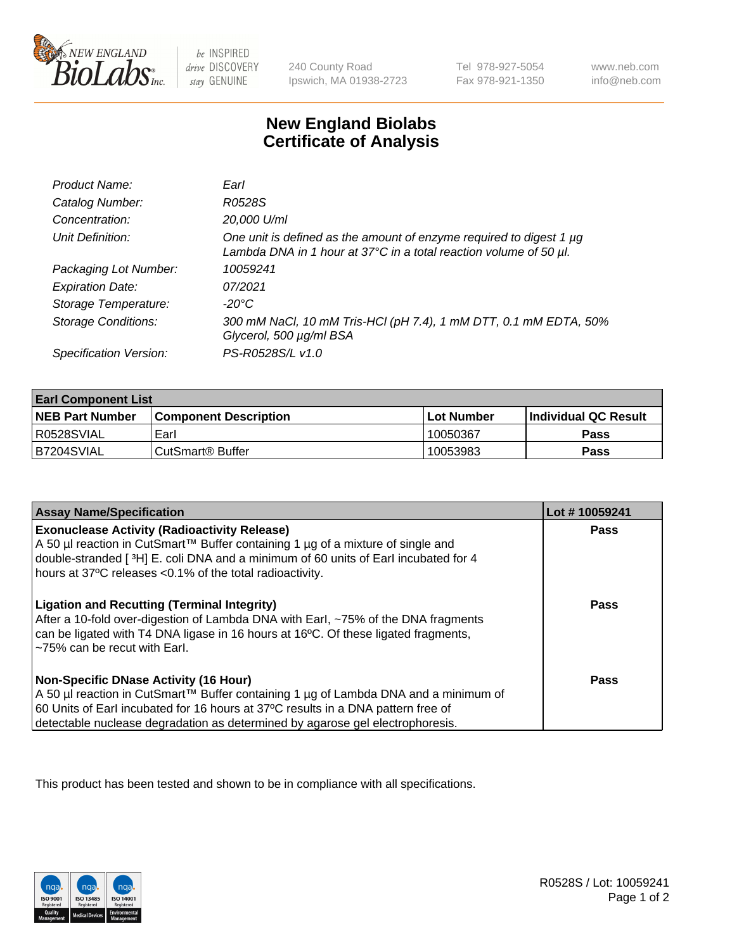

 $be$  INSPIRED drive DISCOVERY stay GENUINE

240 County Road Ipswich, MA 01938-2723 Tel 978-927-5054 Fax 978-921-1350 www.neb.com info@neb.com

## **New England Biolabs Certificate of Analysis**

| Product Name:              | Earl                                                                                                                                                    |
|----------------------------|---------------------------------------------------------------------------------------------------------------------------------------------------------|
| Catalog Number:            | R0528S                                                                                                                                                  |
| Concentration:             | 20,000 U/ml                                                                                                                                             |
| Unit Definition:           | One unit is defined as the amount of enzyme required to digest 1 µg<br>Lambda DNA in 1 hour at $37^{\circ}$ C in a total reaction volume of 50 $\mu$ l. |
| Packaging Lot Number:      | 10059241                                                                                                                                                |
| <b>Expiration Date:</b>    | 07/2021                                                                                                                                                 |
| Storage Temperature:       | $-20^{\circ}$ C                                                                                                                                         |
| <b>Storage Conditions:</b> | 300 mM NaCl, 10 mM Tris-HCl (pH 7.4), 1 mM DTT, 0.1 mM EDTA, 50%<br>Glycerol, 500 µg/ml BSA                                                             |
| Specification Version:     | PS-R0528S/L v1.0                                                                                                                                        |

| <b>Earl Component List</b> |                              |              |                             |  |
|----------------------------|------------------------------|--------------|-----------------------------|--|
| <b>NEB Part Number</b>     | <b>Component Description</b> | l Lot Number | <b>Individual QC Result</b> |  |
| R0528SVIAL                 | Earl                         | 10050367     | Pass                        |  |
| B7204SVIAL                 | l CutSmart® Buffer           | 10053983     | Pass                        |  |

| <b>Assay Name/Specification</b>                                                                                                                                                                                                                                                                            | Lot #10059241 |
|------------------------------------------------------------------------------------------------------------------------------------------------------------------------------------------------------------------------------------------------------------------------------------------------------------|---------------|
| <b>Exonuclease Activity (Radioactivity Release)</b><br>A 50 µl reaction in CutSmart™ Buffer containing 1 µg of a mixture of single and<br>double-stranded [3H] E. coli DNA and a minimum of 60 units of Earl incubated for 4<br>hours at 37°C releases <0.1% of the total radioactivity.                   | Pass          |
| <b>Ligation and Recutting (Terminal Integrity)</b><br>After a 10-fold over-digestion of Lambda DNA with Earl, ~75% of the DNA fragments<br>can be ligated with T4 DNA ligase in 16 hours at 16 <sup>o</sup> C. Of these ligated fragments,<br>~75% can be recut with Earl.                                 | Pass          |
| <b>Non-Specific DNase Activity (16 Hour)</b><br>  A 50 µl reaction in CutSmart™ Buffer containing 1 µg of Lambda DNA and a minimum of<br>60 Units of Earl incubated for 16 hours at 37°C results in a DNA pattern free of<br>detectable nuclease degradation as determined by agarose gel electrophoresis. | Pass          |

This product has been tested and shown to be in compliance with all specifications.